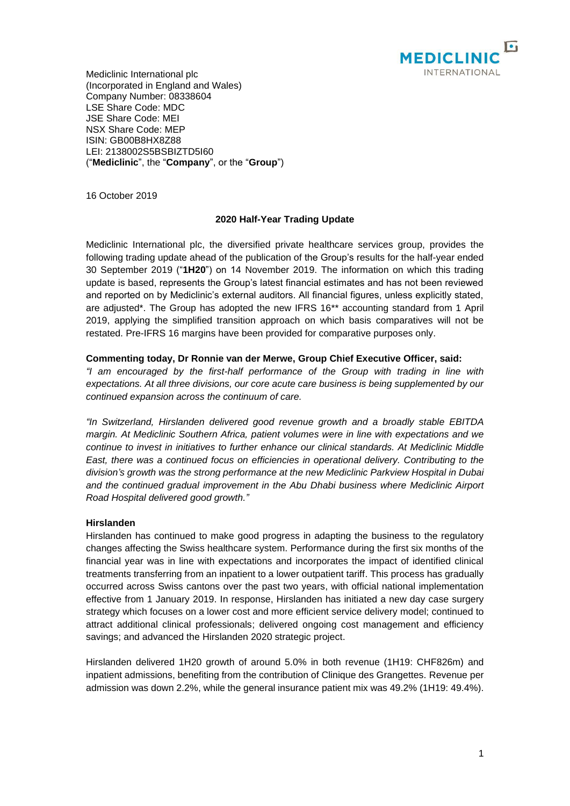

Mediclinic International plc (Incorporated in England and Wales) Company Number: 08338604 LSE Share Code: MDC JSE Share Code: MEI NSX Share Code: MEP ISIN: GB00B8HX8Z88 LEI: 2138002S5BSBIZTD5I60 ("**Mediclinic**", the "**Company**", or the "**Group**")

16 October 2019

# **2020 Half-Year Trading Update**

Mediclinic International plc, the diversified private healthcare services group, provides the following trading update ahead of the publication of the Group's results for the half-year ended 30 September 2019 ("**1H20**") on 14 November 2019. The information on which this trading update is based, represents the Group's latest financial estimates and has not been reviewed and reported on by Mediclinic's external auditors. All financial figures, unless explicitly stated, are adjusted\*. The Group has adopted the new IFRS 16\*\* accounting standard from 1 April 2019, applying the simplified transition approach on which basis comparatives will not be restated. Pre-IFRS 16 margins have been provided for comparative purposes only.

# **Commenting today, Dr Ronnie van der Merwe, Group Chief Executive Officer, said:**

*"I am encouraged by the first-half performance of the Group with trading in line with expectations. At all three divisions, our core acute care business is being supplemented by our continued expansion across the continuum of care.*

*"In Switzerland, Hirslanden delivered good revenue growth and a broadly stable EBITDA margin. At Mediclinic Southern Africa, patient volumes were in line with expectations and we continue to invest in initiatives to further enhance our clinical standards. At Mediclinic Middle East, there was a continued focus on efficiencies in operational delivery. Contributing to the division's growth was the strong performance at the new Mediclinic Parkview Hospital in Dubai and the continued gradual improvement in the Abu Dhabi business where Mediclinic Airport Road Hospital delivered good growth."*

# **Hirslanden**

Hirslanden has continued to make good progress in adapting the business to the regulatory changes affecting the Swiss healthcare system. Performance during the first six months of the financial year was in line with expectations and incorporates the impact of identified clinical treatments transferring from an inpatient to a lower outpatient tariff. This process has gradually occurred across Swiss cantons over the past two years, with official national implementation effective from 1 January 2019. In response, Hirslanden has initiated a new day case surgery strategy which focuses on a lower cost and more efficient service delivery model; continued to attract additional clinical professionals; delivered ongoing cost management and efficiency savings; and advanced the Hirslanden 2020 strategic project.

Hirslanden delivered 1H20 growth of around 5.0% in both revenue (1H19: CHF826m) and inpatient admissions, benefiting from the contribution of Clinique des Grangettes. Revenue per admission was down 2.2%, while the general insurance patient mix was 49.2% (1H19: 49.4%).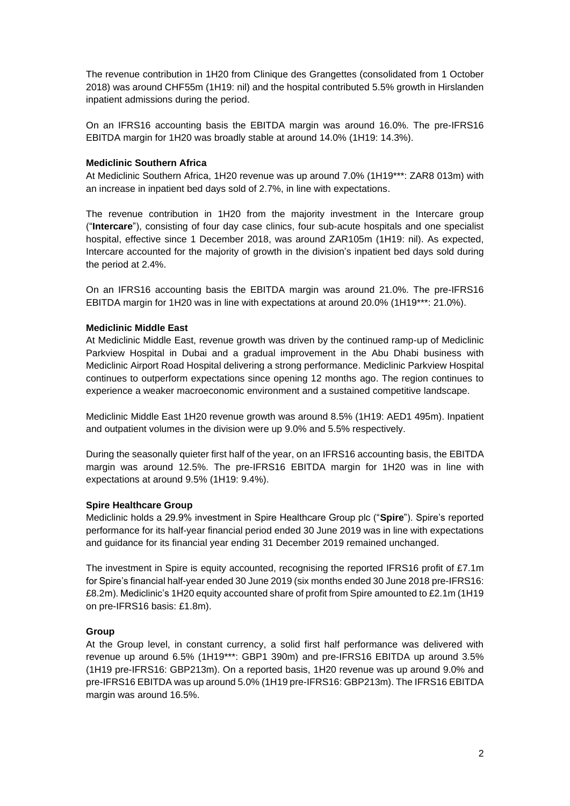The revenue contribution in 1H20 from Clinique des Grangettes (consolidated from 1 October 2018) was around CHF55m (1H19: nil) and the hospital contributed 5.5% growth in Hirslanden inpatient admissions during the period.

On an IFRS16 accounting basis the EBITDA margin was around 16.0%. The pre-IFRS16 EBITDA margin for 1H20 was broadly stable at around 14.0% (1H19: 14.3%).

### **Mediclinic Southern Africa**

At Mediclinic Southern Africa, 1H20 revenue was up around 7.0% (1H19\*\*\*: ZAR8 013m) with an increase in inpatient bed days sold of 2.7%, in line with expectations.

The revenue contribution in 1H20 from the majority investment in the Intercare group ("**Intercare**"), consisting of four day case clinics, four sub-acute hospitals and one specialist hospital, effective since 1 December 2018, was around ZAR105m (1H19: nil). As expected, Intercare accounted for the majority of growth in the division's inpatient bed days sold during the period at 2.4%.

On an IFRS16 accounting basis the EBITDA margin was around 21.0%. The pre-IFRS16 EBITDA margin for 1H20 was in line with expectations at around 20.0% (1H19\*\*\*: 21.0%).

### **Mediclinic Middle East**

At Mediclinic Middle East, revenue growth was driven by the continued ramp-up of Mediclinic Parkview Hospital in Dubai and a gradual improvement in the Abu Dhabi business with Mediclinic Airport Road Hospital delivering a strong performance. Mediclinic Parkview Hospital continues to outperform expectations since opening 12 months ago. The region continues to experience a weaker macroeconomic environment and a sustained competitive landscape.

Mediclinic Middle East 1H20 revenue growth was around 8.5% (1H19: AED1 495m). Inpatient and outpatient volumes in the division were up 9.0% and 5.5% respectively.

During the seasonally quieter first half of the year, on an IFRS16 accounting basis, the EBITDA margin was around 12.5%. The pre-IFRS16 EBITDA margin for 1H20 was in line with expectations at around 9.5% (1H19: 9.4%).

### **Spire Healthcare Group**

Mediclinic holds a 29.9% investment in Spire Healthcare Group plc ("**Spire**"). Spire's reported performance for its half-year financial period ended 30 June 2019 was in line with expectations and guidance for its financial year ending 31 December 2019 remained unchanged.

The investment in Spire is equity accounted, recognising the reported IFRS16 profit of £7.1m for Spire's financial half-year ended 30 June 2019 (six months ended 30 June 2018 pre-IFRS16: £8.2m). Mediclinic's 1H20 equity accounted share of profit from Spire amounted to £2.1m (1H19 on pre-IFRS16 basis: £1.8m).

# **Group**

At the Group level, in constant currency, a solid first half performance was delivered with revenue up around 6.5% (1H19\*\*\*: GBP1 390m) and pre-IFRS16 EBITDA up around 3.5% (1H19 pre-IFRS16: GBP213m). On a reported basis, 1H20 revenue was up around 9.0% and pre-IFRS16 EBITDA was up around 5.0% (1H19 pre-IFRS16: GBP213m). The IFRS16 EBITDA margin was around 16.5%.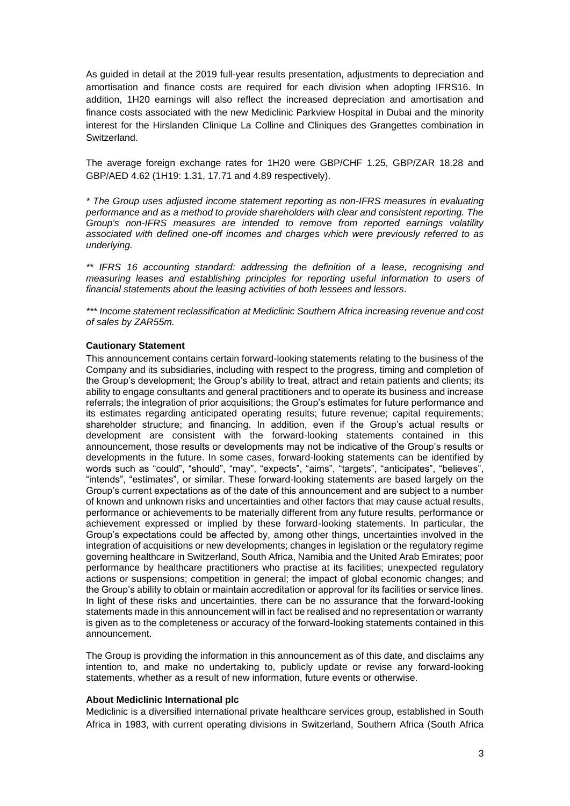As guided in detail at the 2019 full-year results presentation, adjustments to depreciation and amortisation and finance costs are required for each division when adopting IFRS16. In addition, 1H20 earnings will also reflect the increased depreciation and amortisation and finance costs associated with the new Mediclinic Parkview Hospital in Dubai and the minority interest for the Hirslanden Clinique La Colline and Cliniques des Grangettes combination in Switzerland.

The average foreign exchange rates for 1H20 were GBP/CHF 1.25, GBP/ZAR 18.28 and GBP/AED 4.62 (1H19: 1.31, 17.71 and 4.89 respectively).

*\* The Group uses adjusted income statement reporting as non-IFRS measures in evaluating performance and as a method to provide shareholders with clear and consistent reporting. The Group's non-IFRS measures are intended to remove from reported earnings volatility associated with defined one-off incomes and charges which were previously referred to as underlying.*

*\*\* IFRS 16 accounting standard: addressing the definition of a lease, recognising and measuring leases and establishing principles for reporting useful information to users of financial statements about the leasing activities of both lessees and lessors.*

*\*\*\* Income statement reclassification at Mediclinic Southern Africa increasing revenue and cost of sales by ZAR55m.*

### **Cautionary Statement**

This announcement contains certain forward-looking statements relating to the business of the Company and its subsidiaries, including with respect to the progress, timing and completion of the Group's development; the Group's ability to treat, attract and retain patients and clients; its ability to engage consultants and general practitioners and to operate its business and increase referrals; the integration of prior acquisitions; the Group's estimates for future performance and its estimates regarding anticipated operating results; future revenue; capital requirements; shareholder structure; and financing. In addition, even if the Group's actual results or development are consistent with the forward-looking statements contained in this announcement, those results or developments may not be indicative of the Group's results or developments in the future. In some cases, forward-looking statements can be identified by words such as "could", "should", "may", "expects", "aims", "targets", "anticipates", "believes", "intends", "estimates", or similar. These forward-looking statements are based largely on the Group's current expectations as of the date of this announcement and are subject to a number of known and unknown risks and uncertainties and other factors that may cause actual results, performance or achievements to be materially different from any future results, performance or achievement expressed or implied by these forward-looking statements. In particular, the Group's expectations could be affected by, among other things, uncertainties involved in the integration of acquisitions or new developments; changes in legislation or the regulatory regime governing healthcare in Switzerland, South Africa, Namibia and the United Arab Emirates; poor performance by healthcare practitioners who practise at its facilities; unexpected regulatory actions or suspensions; competition in general; the impact of global economic changes; and the Group's ability to obtain or maintain accreditation or approval for its facilities or service lines. In light of these risks and uncertainties, there can be no assurance that the forward-looking statements made in this announcement will in fact be realised and no representation or warranty is given as to the completeness or accuracy of the forward-looking statements contained in this announcement.

The Group is providing the information in this announcement as of this date, and disclaims any intention to, and make no undertaking to, publicly update or revise any forward-looking statements, whether as a result of new information, future events or otherwise.

### **About Mediclinic International plc**

Mediclinic is a diversified international private healthcare services group, established in South Africa in 1983, with current operating divisions in Switzerland, Southern Africa (South Africa